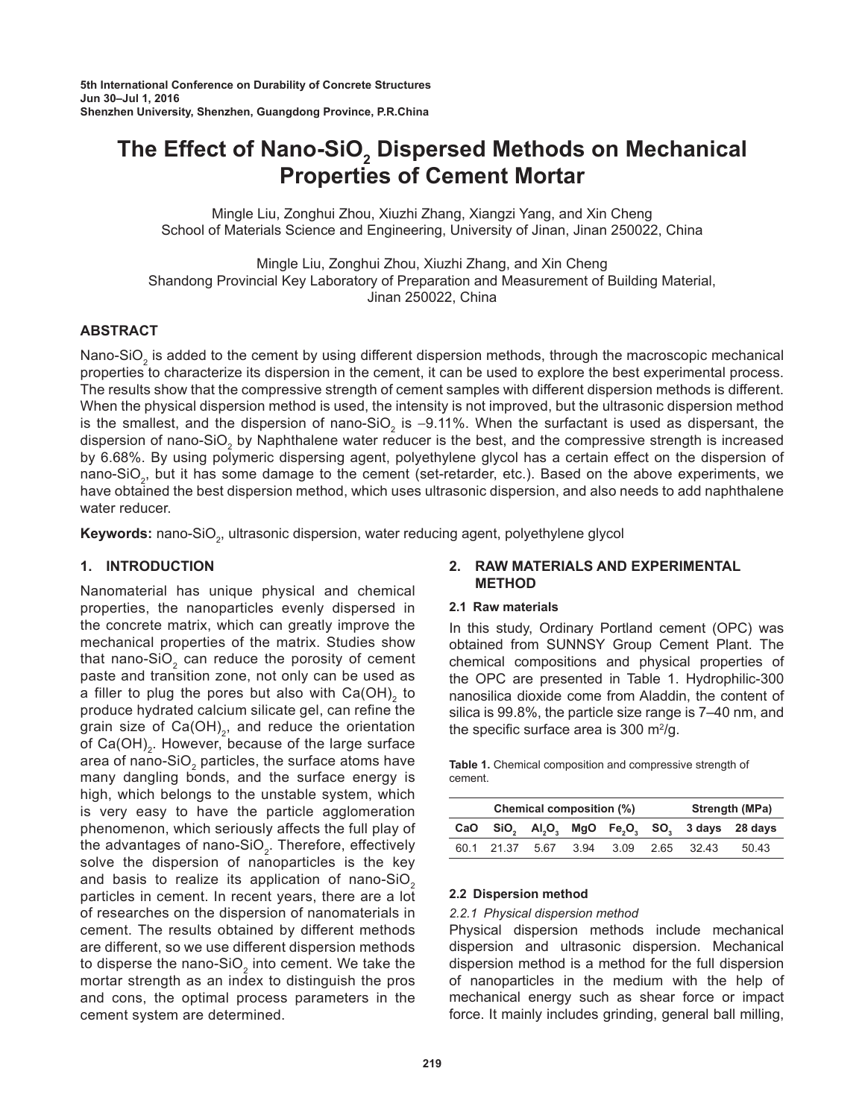# The Effect of Nano-SiO<sub>2</sub> Dispersed Methods on Mechanical **Properties of Cement Mortar**

Mingle Liu, Zonghui Zhou, Xiuzhi Zhang, Xiangzi Yang, and Xin Cheng School of Materials Science and Engineering, University of Jinan, Jinan 250022, China

Mingle Liu, Zonghui Zhou, Xiuzhi Zhang, and Xin Cheng Shandong Provincial Key Laboratory of Preparation and Measurement of Building Material, Jinan 250022, China

# **ABSTRACT**

Nano-SiO<sub>2</sub> is added to the cement by using different dispersion methods, through the macroscopic mechanical properties to characterize its dispersion in the cement, it can be used to explore the best experimental process. The results show that the compressive strength of cement samples with different dispersion methods is different. When the physical dispersion method is used, the intensity is not improved, but the ultrasonic dispersion method is the smallest, and the dispersion of nano-SiO<sub>2</sub> is -9.11%. When the surfactant is used as dispersant, the dispersion of nano-SiO<sub>2</sub> by Naphthalene water reducer is the best, and the compressive strength is increased by 6.68%. By using polymeric dispersing agent, polyethylene glycol has a certain effect on the dispersion of nano-SiO<sub>2</sub>, but it has some damage to the cement (set-retarder, etc.). Based on the above experiments, we have obtained the best dispersion method, which uses ultrasonic dispersion, and also needs to add naphthalene water reducer.

**Keywords:** nano-SiO<sub>2</sub>, ultrasonic dispersion, water reducing agent, polyethylene glycol

# **1. INTRODUCTION**

Nanomaterial has unique physical and chemical properties, the nanoparticles evenly dispersed in the concrete matrix, which can greatly improve the mechanical properties of the matrix. Studies show that nano-SiO<sub>2</sub> can reduce the porosity of cement paste and transition zone, not only can be used as a filler to plug the pores but also with  $Ca(OH)$ , to produce hydrated calcium silicate gel, can refine the grain size of  $Ca(OH)_{2}$ , and reduce the orientation of  $Ca(OH)_{2}$ . However, because of the large surface area of nano-SiO<sub>2</sub> particles, the surface atoms have many dangling bonds, and the surface energy is high, which belongs to the unstable system, which is very easy to have the particle agglomeration phenomenon, which seriously affects the full play of the advantages of nano-SiO<sub>2</sub>. Therefore, effectively solve the dispersion of nanoparticles is the key and basis to realize its application of nano-SiO<sub>2</sub> particles in cement. In recent years, there are a lot of researches on the dispersion of nanomaterials in cement. The results obtained by different methods are different, so we use different dispersion methods to disperse the nano-SiO<sub>2</sub> into cement. We take the mortar strength as an index to distinguish the pros and cons, the optimal process parameters in the cement system are determined.

# **2. RAW MATERIALS AND EXPERIMENTAL METHOD**

# **2.1 Raw materials**

In this study, Ordinary Portland cement (OPC) was obtained from SUNNSY Group Cement Plant. The chemical compositions and physical properties of the OPC are presented in Table 1. Hydrophilic-300 nanosilica dioxide come from Aladdin, the content of silica is 99.8%, the particle size range is 7–40 nm, and the specific surface area is 300 m<sup>2</sup>/g.

**Table 1.** Chemical composition and compressive strength of cement.

| Chemical composition (%) |  |  |  |                                      |  | Strength (MPa) |                                             |
|--------------------------|--|--|--|--------------------------------------|--|----------------|---------------------------------------------|
|                          |  |  |  |                                      |  |                | CaO SiO, Al.O, MgO Fe.O, SO, 3 days 28 days |
|                          |  |  |  | 60.1 21.37 5.67 3.94 3.09 2.65 32.43 |  |                | 50.43                                       |

## **2.2 Dispersion method**

## *2.2.1 Physical dispersion method*

Physical dispersion methods include mechanical dispersion and ultrasonic dispersion. Mechanical dispersion method is a method for the full dispersion of nanoparticles in the medium with the help of mechanical energy such as shear force or impact force. It mainly includes grinding, general ball milling,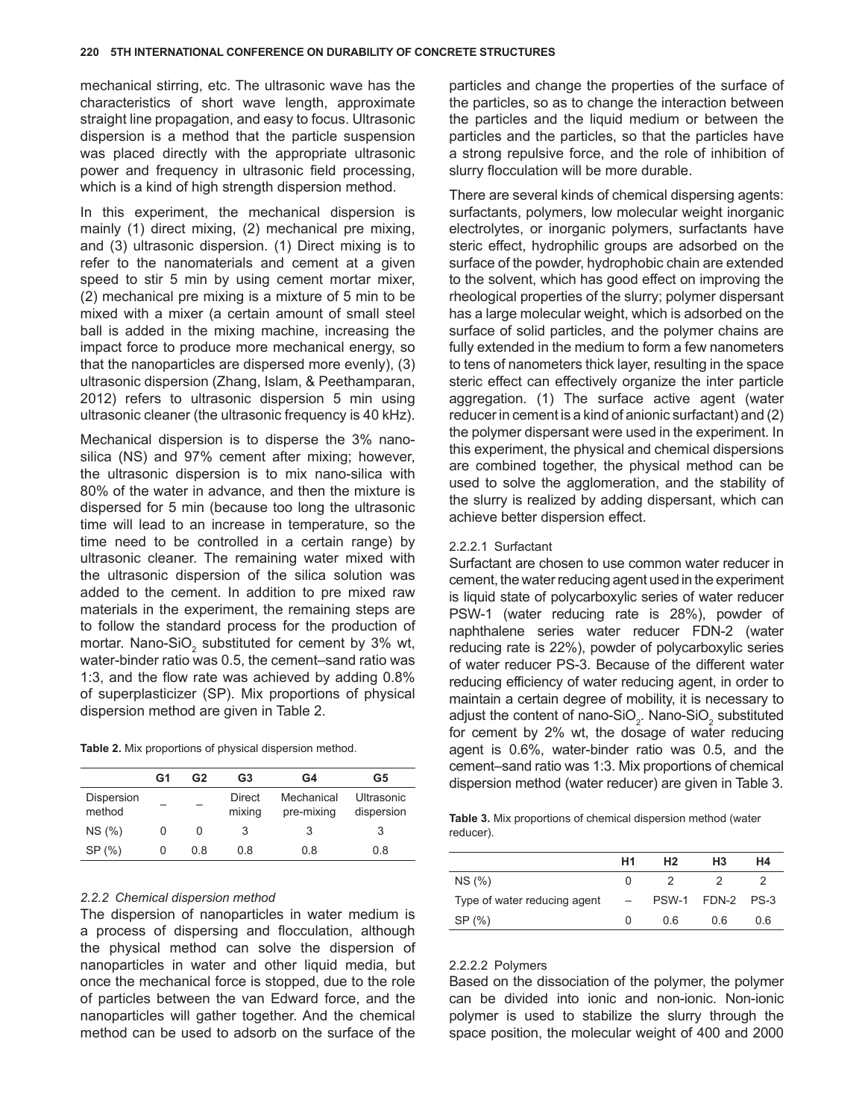mechanical stirring, etc. The ultrasonic wave has the characteristics of short wave length, approximate straight line propagation, and easy to focus. Ultrasonic dispersion is a method that the particle suspension was placed directly with the appropriate ultrasonic power and frequency in ultrasonic field processing, which is a kind of high strength dispersion method.

In this experiment, the mechanical dispersion is mainly (1) direct mixing, (2) mechanical pre mixing, and (3) ultrasonic dispersion. (1) Direct mixing is to refer to the nanomaterials and cement at a given speed to stir 5 min by using cement mortar mixer, (2) mechanical pre mixing is a mixture of 5 min to be mixed with a mixer (a certain amount of small steel ball is added in the mixing machine, increasing the impact force to produce more mechanical energy, so that the nanoparticles are dispersed more evenly), (3) ultrasonic dispersion (Zhang, Islam, & Peethamparan, 2012) refers to ultrasonic dispersion 5 min using ultrasonic cleaner (the ultrasonic frequency is 40 kHz).

Mechanical dispersion is to disperse the 3% nanosilica (NS) and 97% cement after mixing; however, the ultrasonic dispersion is to mix nano-silica with 80% of the water in advance, and then the mixture is dispersed for 5 min (because too long the ultrasonic time will lead to an increase in temperature, so the time need to be controlled in a certain range) by ultrasonic cleaner. The remaining water mixed with the ultrasonic dispersion of the silica solution was added to the cement. In addition to pre mixed raw materials in the experiment, the remaining steps are to follow the standard process for the production of mortar. Nano-SiO<sub>2</sub> substituted for cement by 3% wt, water-binder ratio was 0.5, the cement–sand ratio was 1:3, and the flow rate was achieved by adding 0.8% of superplasticizer (SP). Mix proportions of physical dispersion method are given in Table 2.

|                      | G1 | G <sub>2</sub> | G3               | G4                       | G5                       |
|----------------------|----|----------------|------------------|--------------------------|--------------------------|
| Dispersion<br>method |    |                | Direct<br>mixing | Mechanical<br>pre-mixing | Ultrasonic<br>dispersion |
| NS (%)               | 0  | 0              | 3                | 3                        | 3                        |
| SP (%)               | 0  | 0 8            | 0.8              | 0.8                      | 0.8                      |

#### *2.2.2 Chemical dispersion method*

The dispersion of nanoparticles in water medium is a process of dispersing and flocculation, although the physical method can solve the dispersion of nanoparticles in water and other liquid media, but once the mechanical force is stopped, due to the role of particles between the van Edward force, and the nanoparticles will gather together. And the chemical method can be used to adsorb on the surface of the

particles and change the properties of the surface of the particles, so as to change the interaction between the particles and the liquid medium or between the particles and the particles, so that the particles have a strong repulsive force, and the role of inhibition of slurry flocculation will be more durable.

There are several kinds of chemical dispersing agents: surfactants, polymers, low molecular weight inorganic electrolytes, or inorganic polymers, surfactants have steric effect, hydrophilic groups are adsorbed on the surface of the powder, hydrophobic chain are extended to the solvent, which has good effect on improving the rheological properties of the slurry; polymer dispersant has a large molecular weight, which is adsorbed on the surface of solid particles, and the polymer chains are fully extended in the medium to form a few nanometers to tens of nanometers thick layer, resulting in the space steric effect can effectively organize the inter particle aggregation. (1) The surface active agent (water reducer in cement is a kind of anionic surfactant) and (2) the polymer dispersant were used in the experiment. In this experiment, the physical and chemical dispersions are combined together, the physical method can be used to solve the agglomeration, and the stability of the slurry is realized by adding dispersant, which can achieve better dispersion effect.

#### 2.2.2.1 Surfactant

Surfactant are chosen to use common water reducer in cement, the water reducing agent used in the experiment is liquid state of polycarboxylic series of water reducer PSW-1 (water reducing rate is 28%), powder of naphthalene series water reducer FDN-2 (water reducing rate is 22%), powder of polycarboxylic series of water reducer PS-3. Because of the different water reducing efficiency of water reducing agent, in order to maintain a certain degree of mobility, it is necessary to adjust the content of nano-SiO<sub>2</sub>. Nano-SiO<sub>2</sub> substituted for cement by 2% wt, the dosage of water reducing agent is 0.6%, water-binder ratio was 0.5, and the cement–sand ratio was 1:3. Mix proportions of chemical dispersion method (water reducer) are given in Table 3.

**Table 3.** Mix proportions of chemical dispersion method (water reducer).

|                              | Н1 | H <sub>2</sub> | H3               | Η4  |
|------------------------------|----|----------------|------------------|-----|
| NS (%)                       |    |                |                  |     |
| Type of water reducing agent |    |                | PSW-1 FDN-2 PS-3 |     |
| SP (%)                       | O  | 06.            | 0 6              | 0 6 |

## 2.2.2.2 Polymers

Based on the dissociation of the polymer, the polymer can be divided into ionic and non-ionic. Non-ionic polymer is used to stabilize the slurry through the space position, the molecular weight of 400 and 2000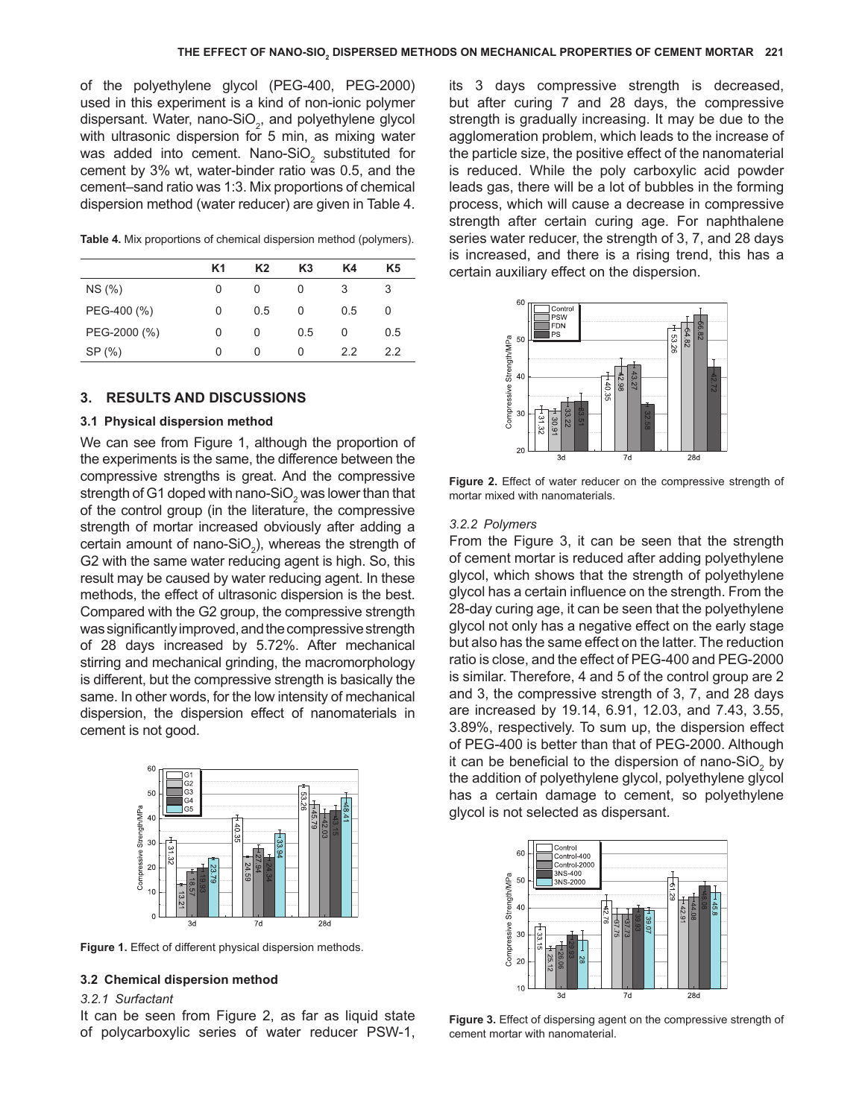of the polyethylene glycol (PEG-400, PEG-2000) used in this experiment is a kind of non-ionic polymer dispersant. Water, nano-SiO<sub>2</sub>, and polyethylene glycol with ultrasonic dispersion for 5 min, as mixing water was added into cement. Nano-SiO<sub>2</sub> substituted for cement by 3% wt, water-binder ratio was 0.5, and the cement–sand ratio was 1:3. Mix proportions of chemical dispersion method (water reducer) are given in Table 4.

**Table 4.** Mix proportions of chemical dispersion method (polymers).

|              | K <sub>1</sub> | K <sub>2</sub> | K3  | K4  | K5  |
|--------------|----------------|----------------|-----|-----|-----|
| NS (%)       | 0              | O              | 0   | 3   | 3   |
| PEG-400 (%)  | 0              | 0.5            | 0   | 0.5 | 0   |
| PEG-2000 (%) | 0              | 0              | 0.5 | 0   | 0.5 |
| SP (%)       | 0              | 0              | U   | 22  | 22  |

## **3. RESULTS AND DISCUSSIONS**

## **3.1 Physical dispersion method**

We can see from Figure 1, although the proportion of the experiments is the same, the difference between the compressive strengths is great. And the compressive strength of G1 doped with nano-SiO $_2$  was lower than that of the control group (in the literature, the compressive strength of mortar increased obviously after adding a certain amount of nano-SiO<sub>2</sub>), whereas the strength of G2 with the same water reducing agent is high. So, this result may be caused by water reducing agent. In these methods, the effect of ultrasonic dispersion is the best. Compared with the G2 group, the compressive strength was significantly improved, and the compressive strength of 28 days increased by 5.72%. After mechanical stirring and mechanical grinding, the macromorphology is different, but the compressive strength is basically the same. In other words, for the low intensity of mechanical dispersion, the dispersion effect of nanomaterials in cement is not good.



Figure 1. Effect of different physical dispersion methods.

#### **3.2 Chemical dispersion method**

#### *3.2.1 Surfactant*

It can be seen from Figure 2, as far as liquid state of polycarboxylic series of water reducer PSW-1,

its 3 days compressive strength is decreased, but after curing 7 and 28 days, the compressive strength is gradually increasing. It may be due to the agglomeration problem, which leads to the increase of the particle size, the positive effect of the nanomaterial is reduced. While the poly carboxylic acid powder leads gas, there will be a lot of bubbles in the forming process, which will cause a decrease in compressive strength after certain curing age. For naphthalene series water reducer, the strength of 3, 7, and 28 days is increased, and there is a rising trend, this has a certain auxiliary effect on the dispersion.



**Figure 2.** Effect of water reducer on the compressive strength of mortar mixed with nanomaterials.

#### *3.2.2 Polymers*

From the Figure 3, it can be seen that the strength of cement mortar is reduced after adding polyethylene glycol, which shows that the strength of polyethylene glycol has a certain influence on the strength. From the 28-day curing age, it can be seen that the polyethylene glycol not only has a negative effect on the early stage but also has the same effect on the latter. The reduction ratio is close, and the effect of PEG-400 and PEG-2000 is similar. Therefore, 4 and 5 of the control group are 2 and 3, the compressive strength of 3, 7, and 28 days are increased by 19.14, 6.91, 12.03, and 7.43, 3.55, 3.89%, respectively. To sum up, the dispersion effect of PEG-400 is better than that of PEG-2000. Although it can be beneficial to the dispersion of nano-SiO<sub>2</sub> by the addition of polyethylene glycol, polyethylene glycol has a certain damage to cement, so polyethylene glycol is not selected as dispersant.



**Figure 3.** Effect of dispersing agent on the compressive strength of cement mortar with nanomaterial.